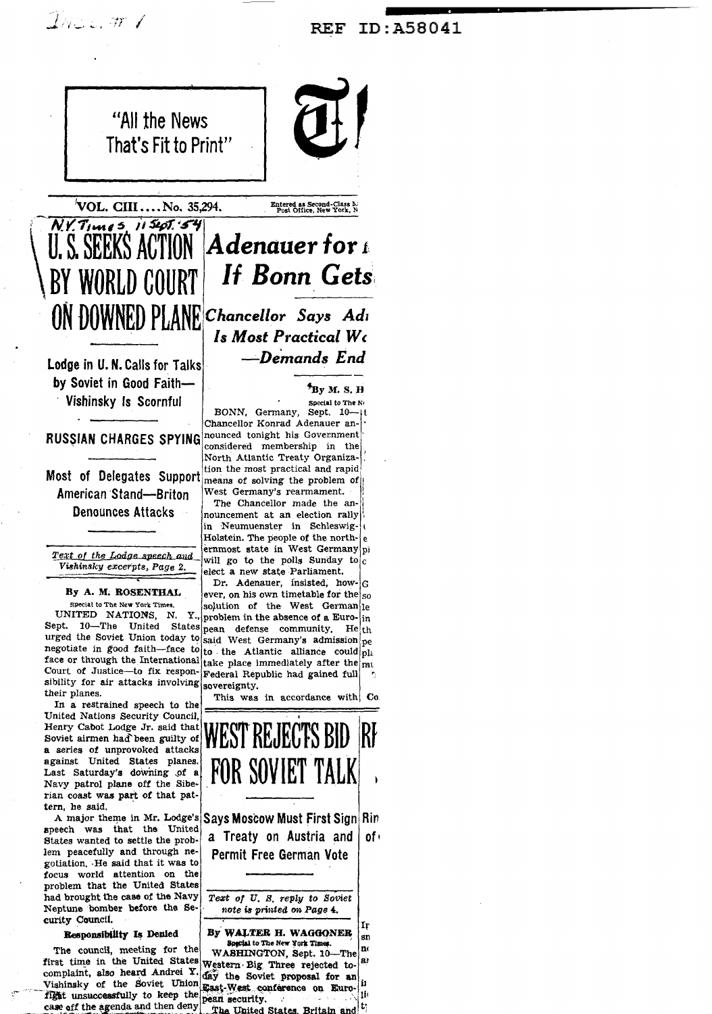## ID:A58041 **REF**





Entered as Second-Class M.<br>Post Office, New York, N.

Adenauer for 1 **U. S. SEEKS ACTION If Bonn Gets** WORLD COURT

> Chancellor Says Adı Is Most Practical We -Demands End

> > <sup>5</sup>ву м. s. н

Vishinsky Is Scornful

Lodge in U. N. Calls for Talks by Soviet in Good Faith-

ON DOWNED PLANE

**American Stand-Briton Denounces Attacks** 

Text of the Lodge speech and Vishinsky excerpts, Page 2.

# By A. M. ROSENTHAL Special to The New York Times.

Court of Justice-to fix respon-Federal Republic had gained full sibility for air attacks involving sovereignty. their planes.

In a restrained speech to the United Nations Security Council, Henry Cabot Lodge Jr. said that Soviet airmen had been guilty of a series of unprovoked attacks against United States planes. Last Saturday's downing of a Navy patrol plane off the Siberian coast was part of that pattern, he said.

A major theme in Mr. Lodge's speech was that the United States wanted to settle the problem peacefully and through negotiation. He said that it was to focus world attention on the problem that the United States had brought the case of the Navy Neptune bomber before the Security Council.

# Responsibility Is Denied

The council, meeting for the first time in the United States Western Big Three rejected tocomplaint, also heard Andrei Y. fight unsuccessfully to keep the pean security.<br>case off the agenda and then deny has United State

Special to The No BONN, Germany, Sept.  $10 - 11$ Chancellor Konrad Adenauer an-RUSSIAN CHARGES SPYING nounced tonight his Government considered membership in the North Atlantic Treaty Organization the most practical and rapid Most of Delegates Support means of solving the problem of West Germany's rearmament.

The Chancellor made the announcement at an election rally in Neumuenster in Schleswig-Holstein. The people of the north- $|e|$ ernmost state in West Germany pi will go to the polls Sunday to  $c$ elect a new state Parliament.

Dr. Adenauer, insisted, how- $|G|$ ever, on his own timetable for the  $|_{50}$ solution of the West German le UNITED NATIONS, N. Y., problem in the absence of a Euro-in Sept. 10—The United States pean defense community. He th urged the Soviet Union today to said West Germany's admission pe negotiate in good faith-face to to the Atlantic alliance could  $\text{pl}_i$ face or through the International take place immediately after the mu

This was in accordance with Co



a Treaty on Austria and  $of<sub>1</sub>$ **Permit Free German Vote** 

Text of U.S. reply to Soviet note is printed on Page 4.

By WALTER H. WAGGONER  $\mathbf{sn}$ Special to The New York Time n WASHINGTON, Sept. 10-The аì day the Soviet proposal for an Vishinsky of the Soviet Union East-West conference on Euro-The United States, Britain and  $^{[t]}$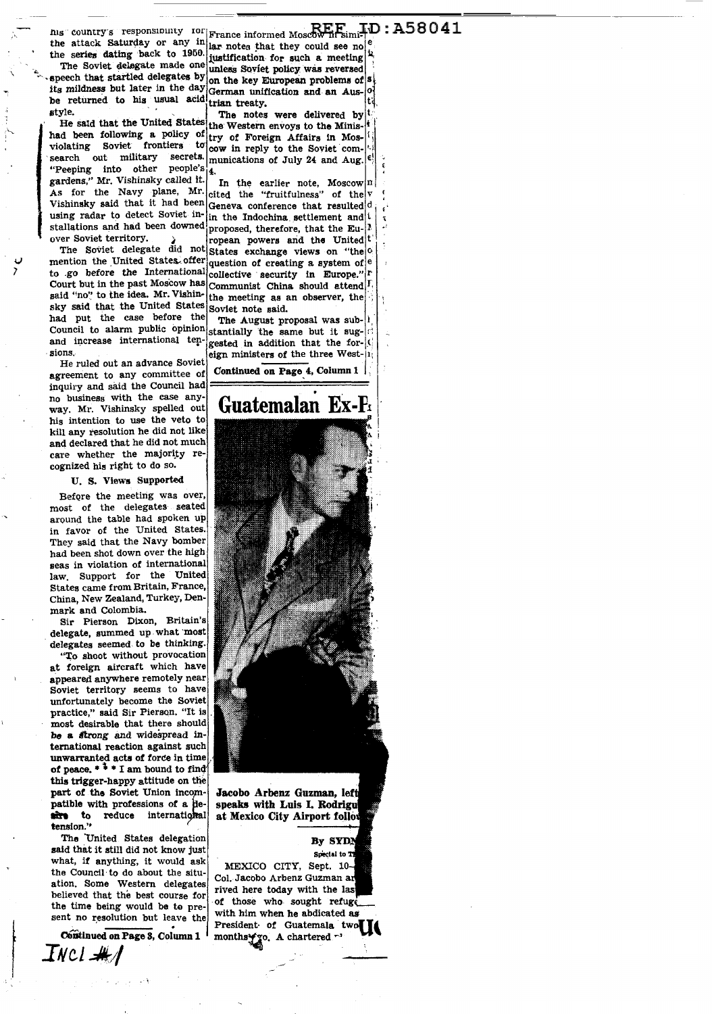ms country's responsibility for France informed Moscow H.Esimi+D: A58041

the attack Saturday or any in France movement could see no

its mildness but later in the day German unification and an Aus-<br>be returned to his usual acid trian treaty. style.

"Peeping into other people's i4. gardens," Mr. Vishinsky called it. As for the Navy plane, Mr. cited the "fruitfulness" of the v Vishinsky said that it had been  $\frac{1}{2}$  conference that resulted d using radar to detect Soviet in- in the Indochina settlement and i stallations and had been downed proposed, therefore, that the Eu-[1 over Soviet territory.

The Soviet delegate did not Court but in the past Moscow has said "no" to the idea. Mr. Vishinsky said that the United States had put the case before the Council to alarm public opinion and increase international tensions.

He ruled out an advance Soviet agreement to any committee of inquiry and said the Council had no business with the case anyway. Mr. Vishinsky spelled out his intention to use the veto to kill any resolution he did not like and declared that he did not much care whether the majority recognized his right to do so.

U. S. Views Supported

Before the meeting was over most of the delegates seated around the table had spoken up in favor of the United States. They said that the Navy bomber had been shot down over the high seas in violation of international law, Support for the United States came from Britain, France, China, New Zealand, Turkey, Denmark and Colombia.

Sir Pierson Dixon, Britain's delegate, summed up what most delegates seemed to be thinking.

"To shoot without provocation at foreign aircraft which have appeared anywhere remotely near Soviet territory seems to have unfortunately become the Soviet practice," said Sir Pierson. "It is most desirable that there should be a strong and widespread international reaction against such unwarranted acts of force in time this trigger-happy attitude on the part of the Soviet Union incompatible with professions of a dereduce international sime to tension."

The United States delegation said that it still did not know just what, if anything, it would ask the Council to do about the situation. Some Western delegates believed that the best course for the time being would be to present no resolution but leave the

Constinued on Page 3, Column 1

INCI <del>M</del>A

the series dating back to 1950. justification for such a meeting at The Soviet delegate made one unless Soviet policy was reversed speech that startled delegates by on the key European problems of s

The notes were delivered by He said that the United States the Western envoys to the Minishad been following a policy of try of Foreign Affairs in Mosviolating Soviet frontiers to low in reply to the Soviet comsearch out military secrets. munications of July 24 and Aug. e.

> In the earlier note, Moscow  $|n|$ ropean powers and the United t

States exchange views on "the 0 mention the United States offer question of creating a system of  $|e|$ to go before the International collective security in Europe." |F Communist China should attend I. the meeting as an observer, the Soviet note said.

> The August proposal was substantially the same but it suggested in addition that the foreign ministers of the three West-11

Continued on Page 4, Column 1

# Guatemalan Ex-F

Jacobo Arbenz Guzman, left speaks with Luis I. Rodrigu at Mexico City Airport follow

> By SYDN Smedal to T

MEXICO CITY, Sept. 10-Col. Jacobo Arbenz Guzman ar rived here today with the last of those who sought refugo with him when he abdicated as President of Guatemala two months Y To. A chartered ~